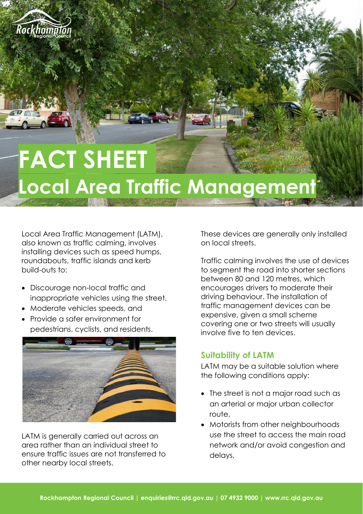

# **FACT SHEET Local Area Traffic Management**

Local Area Traffic Management (LATM), also known as traffic calming, involves installing devices such as speed humps, roundabouts, traffic islands and kerb build-outs to:

- Discourage non-local traffic and inappropriate vehicles using the street,
- Moderate vehicles speeds, and
- Provide a safer environment for pedestrians, cyclists, and residents.



LATM is generally carried out across an area rather than an individual street to ensure traffic issues are not transferred to other nearby local streets.

These devices are generally only installed on local streets.

Traffic calming involves the use of devices to segment the road into shorter sections between 80 and 120 metres, which encourages drivers to moderate their driving behaviour. The installation of traffic management devices can be expensive, given a small scheme covering one or two streets will usually involve five to ten devices.

### **Suitability of LATM**

LATM may be a suitable solution where the following conditions apply:

- The street is not a major road such as an arterial or major urban collector route,
- Motorists from other neighbourhoods use the street to access the main road network and/or avoid congestion and delays,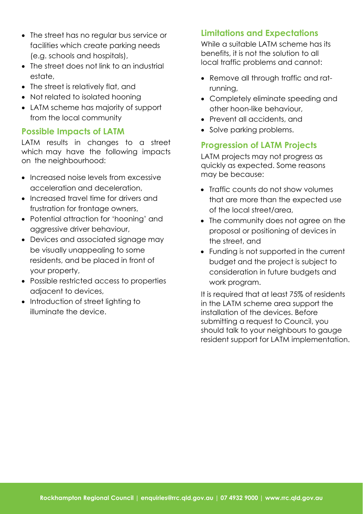- The street has no regular bus service or facilities which create parking needs (e.g. schools and hospitals),
- The street does not link to an industrial estate,
- The street is relatively flat, and
- Not related to isolated hooning
- LATM scheme has majority of support from the local community

## **Possible Impacts of LATM**

LATM results in changes to a street which may have the following impacts on the neighbourhood:

- Increased noise levels from excessive acceleration and deceleration,
- Increased travel time for drivers and frustration for frontage owners,
- Potential attraction for 'hooning' and aggressive driver behaviour,
- Devices and associated signage may be visually unappealing to some residents, and be placed in front of your property,
- Possible restricted access to properties adjacent to devices,
- Introduction of street lighting to illuminate the device.

# **Limitations and Expectations**

While a suitable LATM scheme has its benefits, it is not the solution to all local traffic problems and cannot:

- Remove all through traffic and ratrunning,
- Completely eliminate speeding and other hoon-like behaviour,
- Prevent all accidents, and
- Solve parking problems.

## **Progression of LATM Projects**

LATM projects may not progress as quickly as expected. Some reasons may be because:

- Traffic counts do not show volumes that are more than the expected use of the local street/area,
- The community does not agree on the proposal or positioning of devices in the street, and
- Funding is not supported in the current budget and the project is subject to consideration in future budgets and work program.

It is required that at least 75% of residents in the LATM scheme area support the installation of the devices. Before submitting a request to Council, you should talk to your neighbours to gauge resident support for LATM implementation.